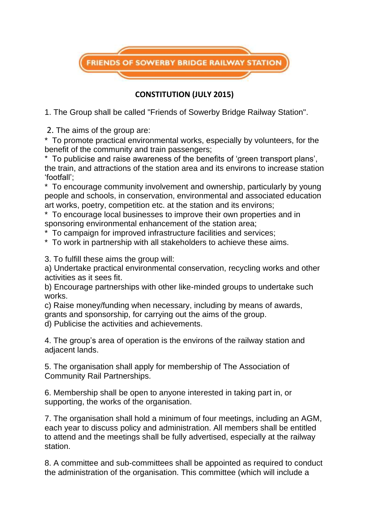

## **CONSTITUTION (JULY 2015)**

1. The Group shall be called "Friends of Sowerby Bridge Railway Station".

2. The aims of the group are:

\* To promote practical environmental works, especially by volunteers, for the benefit of the community and train passengers;

\* To publicise and raise awareness of the benefits of 'green transport plans', the train, and attractions of the station area and its environs to increase station 'footfall';

\* To encourage community involvement and ownership, particularly by young people and schools, in conservation, environmental and associated education art works, poetry, competition etc. at the station and its environs;

\* To encourage local businesses to improve their own properties and in sponsoring environmental enhancement of the station area;

\* To campaign for improved infrastructure facilities and services;

\* To work in partnership with all stakeholders to achieve these aims.

3. To fulfill these aims the group will:

a) Undertake practical environmental conservation, recycling works and other activities as it sees fit.

b) Encourage partnerships with other like-minded groups to undertake such works.

c) Raise money/funding when necessary, including by means of awards,

grants and sponsorship, for carrying out the aims of the group.

d) Publicise the activities and achievements.

4. The group's area of operation is the environs of the railway station and adjacent lands.

5. The organisation shall apply for membership of The Association of Community Rail Partnerships.

6. Membership shall be open to anyone interested in taking part in, or supporting, the works of the organisation.

7. The organisation shall hold a minimum of four meetings, including an AGM, each year to discuss policy and administration. All members shall be entitled to attend and the meetings shall be fully advertised, especially at the railway station.

8. A committee and sub-committees shall be appointed as required to conduct the administration of the organisation. This committee (which will include a